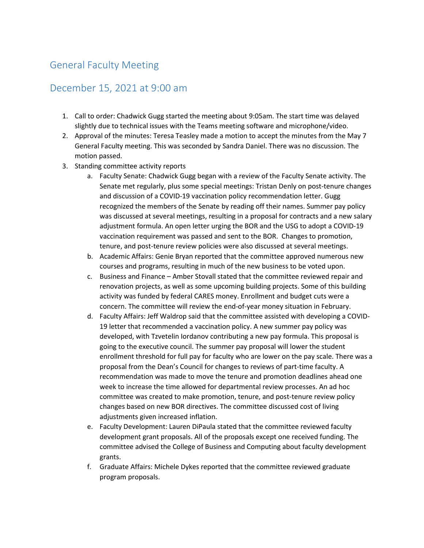## General Faculty Meeting

## December 15, 2021 at 9:00 am

- 1. Call to order: Chadwick Gugg started the meeting about 9:05am. The start time was delayed slightly due to technical issues with the Teams meeting software and microphone/video.
- 2. Approval of the minutes: Teresa Teasley made a motion to accept the minutes from the May 7 General Faculty meeting. This was seconded by Sandra Daniel. There was no discussion. The motion passed.
- 3. Standing committee activity reports
	- a. Faculty Senate: Chadwick Gugg began with a review of the Faculty Senate activity. The Senate met regularly, plus some special meetings: Tristan Denly on post-tenure changes and discussion of a COVID-19 vaccination policy recommendation letter. Gugg recognized the members of the Senate by reading off their names. Summer pay policy was discussed at several meetings, resulting in a proposal for contracts and a new salary adjustment formula. An open letter urging the BOR and the USG to adopt a COVID-19 vaccination requirement was passed and sent to the BOR. Changes to promotion, tenure, and post-tenure review policies were also discussed at several meetings.
	- b. Academic Affairs: Genie Bryan reported that the committee approved numerous new courses and programs, resulting in much of the new business to be voted upon.
	- c. Business and Finance Amber Stovall stated that the committee reviewed repair and renovation projects, as well as some upcoming building projects. Some of this building activity was funded by federal CARES money. Enrollment and budget cuts were a concern. The committee will review the end-of-year money situation in February.
	- d. Faculty Affairs: Jeff Waldrop said that the committee assisted with developing a COVID-19 letter that recommended a vaccination policy. A new summer pay policy was developed, with Tzvetelin Iordanov contributing a new pay formula. This proposal is going to the executive council. The summer pay proposal will lower the student enrollment threshold for full pay for faculty who are lower on the pay scale. There was a proposal from the Dean's Council for changes to reviews of part-time faculty. A recommendation was made to move the tenure and promotion deadlines ahead one week to increase the time allowed for departmental review processes. An ad hoc committee was created to make promotion, tenure, and post-tenure review policy changes based on new BOR directives. The committee discussed cost of living adjustments given increased inflation.
	- e. Faculty Development: Lauren DiPaula stated that the committee reviewed faculty development grant proposals. All of the proposals except one received funding. The committee advised the College of Business and Computing about faculty development grants.
	- f. Graduate Affairs: Michele Dykes reported that the committee reviewed graduate program proposals.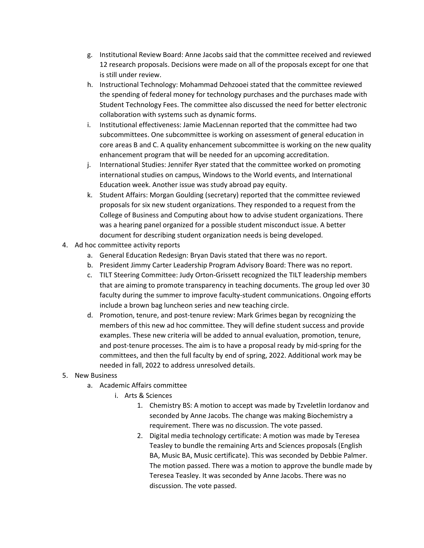- g. Institutional Review Board: Anne Jacobs said that the committee received and reviewed 12 research proposals. Decisions were made on all of the proposals except for one that is still under review.
- h. Instructional Technology: Mohammad Dehzooei stated that the committee reviewed the spending of federal money for technology purchases and the purchases made with Student Technology Fees. The committee also discussed the need for better electronic collaboration with systems such as dynamic forms.
- i. Institutional effectiveness: Jamie MacLennan reported that the committee had two subcommittees. One subcommittee is working on assessment of general education in core areas B and C. A quality enhancement subcommittee is working on the new quality enhancement program that will be needed for an upcoming accreditation.
- j. International Studies: Jennifer Ryer stated that the committee worked on promoting international studies on campus, Windows to the World events, and International Education week. Another issue was study abroad pay equity.
- k. Student Affairs: Morgan Goulding (secretary) reported that the committee reviewed proposals for six new student organizations. They responded to a request from the College of Business and Computing about how to advise student organizations. There was a hearing panel organized for a possible student misconduct issue. A better document for describing student organization needs is being developed.
- 4. Ad hoc committee activity reports
	- a. General Education Redesign: Bryan Davis stated that there was no report.
	- b. President Jimmy Carter Leadership Program Advisory Board: There was no report.
	- c. TILT Steering Committee: Judy Orton-Grissett recognized the TILT leadership members that are aiming to promote transparency in teaching documents. The group led over 30 faculty during the summer to improve faculty-student communications. Ongoing efforts include a brown bag luncheon series and new teaching circle.
	- d. Promotion, tenure, and post-tenure review: Mark Grimes began by recognizing the members of this new ad hoc committee. They will define student success and provide examples. These new criteria will be added to annual evaluation, promotion, tenure, and post-tenure processes. The aim is to have a proposal ready by mid-spring for the committees, and then the full faculty by end of spring, 2022. Additional work may be needed in fall, 2022 to address unresolved details.
- 5. New Business
	- a. Academic Affairs committee
		- i. Arts & Sciences
			- 1. Chemistry BS: A motion to accept was made by Tzveletlin Iordanov and seconded by Anne Jacobs. The change was making Biochemistry a requirement. There was no discussion. The vote passed.
			- 2. Digital media technology certificate: A motion was made by Teresea Teasley to bundle the remaining Arts and Sciences proposals (English BA, Music BA, Music certificate). This was seconded by Debbie Palmer. The motion passed. There was a motion to approve the bundle made by Teresea Teasley. It was seconded by Anne Jacobs. There was no discussion. The vote passed.